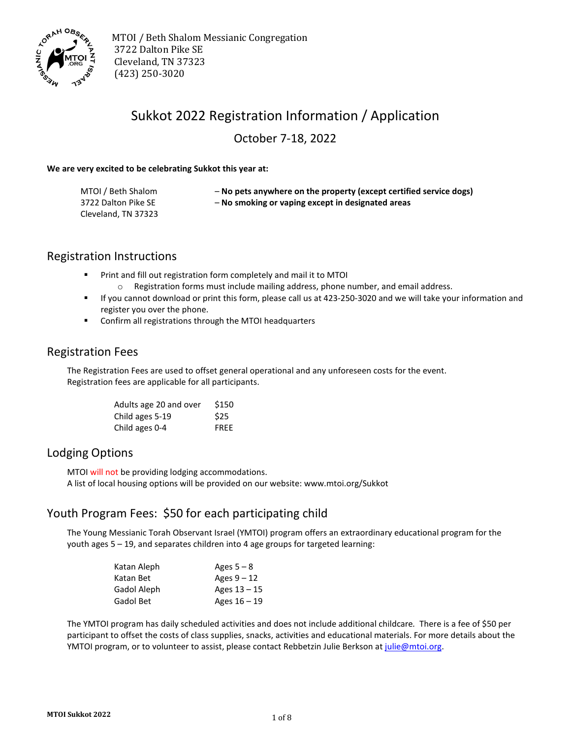

 MTOI / Beth Shalom Messianic Congregation 3722 Dalton Pike SE Cleveland, TN 37323 (423) 250-3020

## Sukkot 2022 Registration Information / Application

October 7-18, 2022

#### **We are very excited to be celebrating Sukkot this year at:**

| MTOI / Beth Shalom  | - No pets anywhere on the property (except certified service dogs) |
|---------------------|--------------------------------------------------------------------|
| 3722 Dalton Pike SE | - No smoking or vaping except in designated areas                  |
| Cleveland, TN 37323 |                                                                    |

#### Registration Instructions

- **Print and fill out registration form completely and mail it to MTOI** 
	- $\circ$  Registration forms must include mailing address, phone number, and email address.
- If you cannot download or print this form, please call us at 423-250-3020 and we will take your information and register you over the phone.
- **Confirm all registrations through the MTOI headquarters**

#### Registration Fees

The Registration Fees are used to offset general operational and any unforeseen costs for the event. Registration fees are applicable for all participants.

| Adults age 20 and over | \$150       |
|------------------------|-------------|
| Child ages 5-19        | \$25        |
| Child ages 0-4         | <b>FREE</b> |

#### Lodging Options

MTOI will not be providing lodging accommodations. A list of local housing options will be provided on our website: www.mtoi.org/Sukkot

### Youth Program Fees: \$50 for each participating child

The Young Messianic Torah Observant Israel (YMTOI) program offers an extraordinary educational program for the youth ages 5 – 19, and separates children into 4 age groups for targeted learning:

| Katan Aleph | Ages $5-8$     |
|-------------|----------------|
| Katan Bet   | Ages $9 - 12$  |
| Gadol Aleph | Ages 13 – 15   |
| Gadol Bet   | Ages $16 - 19$ |

The YMTOI program has daily scheduled activities and does not include additional childcare*.* There is a fee of \$50 per participant to offset the costs of class supplies, snacks, activities and educational materials. For more details about the YMTOI program, or to volunteer to assist, please contact Rebbetzin Julie Berkson at [julie@mtoi.org.](mailto:parshapearls@mtoi.org)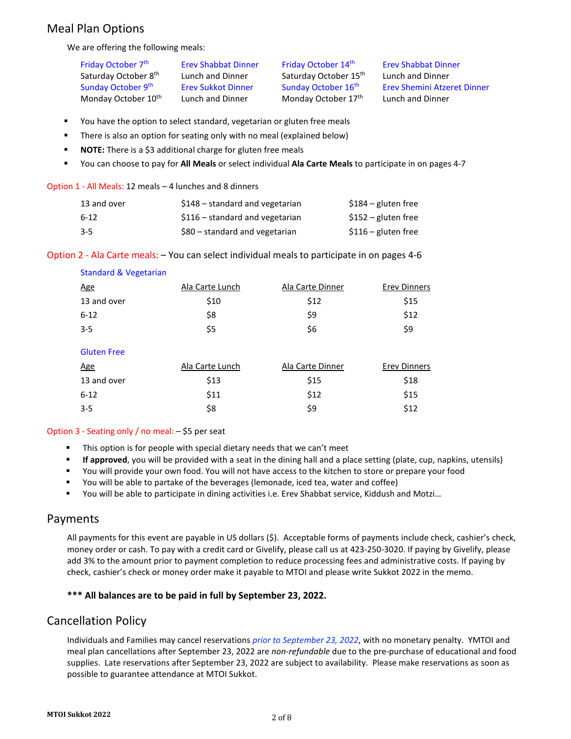### Meal Plan Options

We are offering the following meals:

Friday October 7<sup>th</sup> Erev Shabbat Dinner Friday October 14<sup>th</sup> Erev Shabbat Dinner Saturday October 8<sup>th</sup> Lunch and Dinner Saturday October 15<sup>th</sup> Lunch and Dinner Monday October 10<sup>th</sup> Lunch and Dinner Monday October 17<sup>th</sup> Lunch and Dinner

Sunday October 9<sup>th</sup> Erev Sukkot Dinner Sunday October 16<sup>th</sup> Erev Shemini Atzeret Dinner

- You have the option to select standard, vegetarian or gluten free meals
- There is also an option for seating only with no meal (explained below)
- **NOTE:** There is a \$3 additional charge for gluten free meals
- You can choose to pay for **All Meals** or select individual **Ala Carte Meals** to participate in on pages 4-7

#### Option 1 - All Meals: 12 meals – 4 lunches and 8 dinners

| 13 and over | $$148$ – standard and vegetarian | $$184$ – gluten free |
|-------------|----------------------------------|----------------------|
| $6-12$      | $$116$ - standard and vegetarian | $$152$ – gluten free |
| 3-5         | $$80$ – standard and vegetarian  | $$116$ – gluten free |

Option 2 - Ala Carte meals: – You can select individual meals to participate in on pages 4-6

| <b>Standard &amp; Vegetarian</b> |                 |                  |                     |
|----------------------------------|-----------------|------------------|---------------------|
| <u>Age</u>                       | Ala Carte Lunch | Ala Carte Dinner | <b>Erev Dinners</b> |
| 13 and over                      | \$10            | \$12             | \$15                |
| $6 - 12$                         | \$8             | \$9              | \$12                |
| $3 - 5$                          | \$5             | \$6              | \$9                 |
| <b>Gluten Free</b>               |                 |                  |                     |
| <u>Age</u>                       | Ala Carte Lunch | Ala Carte Dinner | <b>Erev Dinners</b> |
| 13 and over                      | \$13            | \$15             | \$18                |

 $6-12$  \$11 \$12 \$15  $3-5$  \$8 \$9 \$12

#### Option 3 - Seating only / no meal: – \$5 per seat

- This option is for people with special dietary needs that we can't meet
- **If approved**, you will be provided with a seat in the dining hall and a place setting (plate, cup, napkins, utensils)
- You will provide your own food. You will not have access to the kitchen to store or prepare your food
- You will be able to partake of the beverages (lemonade, iced tea, water and coffee)
- You will be able to participate in dining activities i.e. Erev Shabbat service, Kiddush and Motzi…

#### Payments

All payments for this event are payable in US dollars (\$). Acceptable forms of payments include check, cashier's check, money order or cash. To pay with a credit card or Givelify, please call us at 423-250-3020. If paying by Givelify, please add 3% to the amount prior to payment completion to reduce processing fees and administrative costs. If paying by check, cashier's check or money order make it payable to MTOI and please write Sukkot 2022 in the memo.

#### **\*\*\* All balances are to be paid in full by September 23, 2022.**

#### Cancellation Policy

Individuals and Families may cancel reservations *prior to September 23, 2022*, with no monetary penalty. YMTOI and meal plan cancellations after September 23, 2022 are *non-refundable* due to the pre-purchase of educational and food supplies. Late reservations after September 23, 2022 are subject to availability. Please make reservations as soon as possible to guarantee attendance at MTOI Sukkot.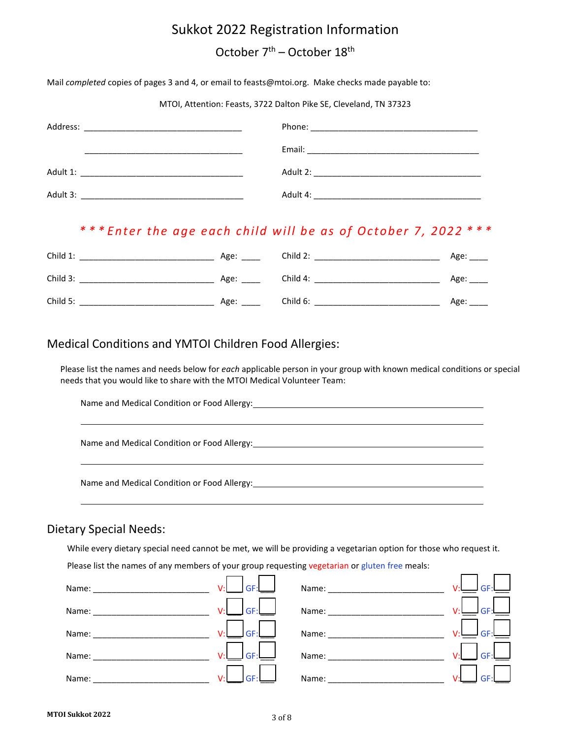## Sukkot 2022 Registration Information

# October 7<sup>th</sup> – October 18<sup>th</sup>

Mail *completed* copies of pages 3 and 4, or email to feasts@mtoi.org. Make checks made payable to:

MTOI, Attention: Feasts, 3722 Dalton Pike SE, Cleveland, TN 37323

| Address: |                                                                                                                 |
|----------|-----------------------------------------------------------------------------------------------------------------|
|          | Email: 2008. 2009. 2010. 2010. 2010. 2010. 2010. 2010. 2010. 2010. 2011. 2012. 2014. 2016. 2017. 2017. 2017. 20 |
| Adult 1: | Adult 2:                                                                                                        |
| Adult 3: | Adult 4:                                                                                                        |

### *\* \* \* Enter the age each child will be as of October 7, 2022 \* \* \**

| Child 1: | Age: ___ | Child 2: | Age: |
|----------|----------|----------|------|
| Child 3: | Age:     | Child 4: | Age: |
| Child 5: | Age:     | Child 6: | Age: |

### Medical Conditions and YMTOI Children Food Allergies:

Please list the names and needs below for *each* applicable person in your group with known medical conditions or special needs that you would like to share with the MTOI Medical Volunteer Team:

Name and Medical Condition or Food Allergy:

Name and Medical Condition or Food Allergy:

Name and Medical Condition or Food Allergy:

#### Dietary Special Needs:

l

l

l

While every dietary special need cannot be met, we will be providing a vegetarian option for those who request it.

┑

 $\Box$ 

г ┑

Please list the names of any members of your group requesting vegetarian or gluten free meals:

 $\blacksquare$  $\blacksquare$  $\blacksquare$ 

| Name: | GF:<br>V:l                        | Name: | GF <sup>1</sup> |
|-------|-----------------------------------|-------|-----------------|
| Name: | GF <sup>1</sup><br>V <sub>1</sub> | Name: | GF              |
| Name: | GF <sup>1</sup><br>u٠             | Name: | GF              |
| Name: | GF:<br>$\mathcal{U}^{\star}$      | Name: | GE              |
| Name: | GF <sup>-</sup><br>v٠l            | Name: | GE              |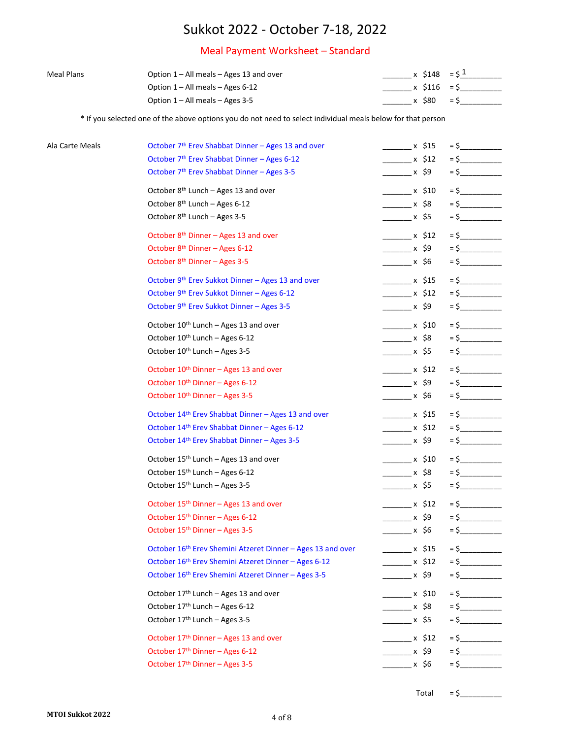### Meal Payment Worksheet – Standard

| <b>Meal Plans</b> | Option 1 – All meals – Ages 13 and over |       | $x$ \$148 = \$ |       |
|-------------------|-----------------------------------------|-------|----------------|-------|
|                   | Option $1 -$ All meals $-$ Ages 6-12    |       | x S116 = S     |       |
|                   | Option 1 – All meals – Ages 3-5         | x S80 |                | $=$ S |

\* If you selected one of the above options you do not need to select individual meals below for that person

| Ala Carte Meals | October 7 <sup>th</sup> Erev Shabbat Dinner - Ages 13 and over | $\frac{1}{2}$ x \$15            | $=$ \$ |
|-----------------|----------------------------------------------------------------|---------------------------------|--------|
|                 | October 7th Erev Shabbat Dinner - Ages 6-12                    | x \$12                          |        |
|                 | October 7 <sup>th</sup> Erev Shabbat Dinner - Ages 3-5         | _______ x \$9                   |        |
|                 | October 8 <sup>th</sup> Lunch - Ages 13 and over               | $\times$ \$10                   | $=$ \$ |
|                 | October 8 <sup>th</sup> Lunch - Ages 6-12                      | ________ x \$8                  | $=$ \$ |
|                 | October 8 <sup>th</sup> Lunch - Ages 3-5                       | ________ x \$5                  |        |
|                 | October 8 <sup>th</sup> Dinner - Ages 13 and over              | $x \; \text{ }$ \$12            | $=$ \$ |
|                 | October 8 <sup>th</sup> Dinner - Ages 6-12                     | _________ x \$9                 | $=$ \$ |
|                 | October 8 <sup>th</sup> Dinner - Ages 3-5                      | ________ x \$6                  |        |
|                 | October 9th Erev Sukkot Dinner - Ages 13 and over              | $\times$ \$15                   | $=$ \$ |
|                 | October 9th Erev Sukkot Dinner - Ages 6-12                     | $\frac{1}{2}$ x \$12            | $=$ \$ |
|                 | October 9th Erev Sukkot Dinner - Ages 3-5                      | _______ x \$9                   |        |
|                 | October 10 <sup>th</sup> Lunch - Ages 13 and over              | $\times$ \$10                   | $=$ \$ |
|                 | October 10 <sup>th</sup> Lunch - Ages 6-12                     | _________ x \$8                 | $=$ \$ |
|                 | October 10th Lunch - Ages 3-5                                  |                                 |        |
|                 | October 10th Dinner - Ages 13 and over                         | $\frac{1}{2}$ x \$12            | $=$ \$ |
|                 | October 10 <sup>th</sup> Dinner - Ages 6-12                    | _________ x \$9                 | $=$ \$ |
|                 | October 10 <sup>th</sup> Dinner - Ages 3-5                     | ________ x \$6                  |        |
|                 | October 14th Erev Shabbat Dinner - Ages 13 and over            | $\frac{1}{2}$ x \$15            | $=$ \$ |
|                 | October 14th Erev Shabbat Dinner - Ages 6-12                   | $\frac{1}{2}$ x \$12            | $=$ \$ |
|                 | October 14th Erev Shabbat Dinner - Ages 3-5                    | ________ x \$9                  |        |
|                 | October 15 <sup>th</sup> Lunch - Ages 13 and over              | $\frac{\ }{\ }$ x \$10          | $=$ \$ |
|                 | October 15th Lunch - Ages 6-12                                 |                                 |        |
|                 | October 15 <sup>th</sup> Lunch - Ages 3-5                      | ________ x \$5                  |        |
|                 | October 15th Dinner - Ages 13 and over                         | $\frac{\ }{\ }$ x \$12          | $=$ \$ |
|                 | October 15th Dinner - Ages 6-12                                | $\frac{1}{2}$ x \$9             |        |
|                 | October 15 <sup>th</sup> Dinner - Ages 3-5                     | ________ x \$6                  | $=$ \$ |
|                 | October 16th Erev Shemini Atzeret Dinner - Ages 13 and over    | __________ x \$15               |        |
|                 | October 16th Erev Shemini Atzeret Dinner - Ages 6-12           | $\frac{\sqrt{3}}{2} \times 512$ | $=$ \$ |
|                 | October 16th Erev Shemini Atzeret Dinner - Ages 3-5            | $\frac{\ }{\ }$ x \$9           |        |
|                 | October 17th Lunch - Ages 13 and over                          | x \$10                          |        |
|                 | October 17th Lunch - Ages 6-12                                 | $\frac{\ }{2}$ x \$8            | $=$ \$ |
|                 | October 17th Lunch - Ages 3-5                                  | ________ x \$5                  | $=$ \$ |
|                 | October 17 <sup>th</sup> Dinner - Ages 13 and over             | $x \,$ \$12                     | $=$ \$ |
|                 | October 17 <sup>th</sup> Dinner - Ages 6-12                    | $\frac{\ }{2}$ x \$9            | $=$ \$ |
|                 | October 17th Dinner - Ages 3-5                                 | _______ x \$6                   | $=$ \$ |
|                 |                                                                |                                 |        |

 $Total = $$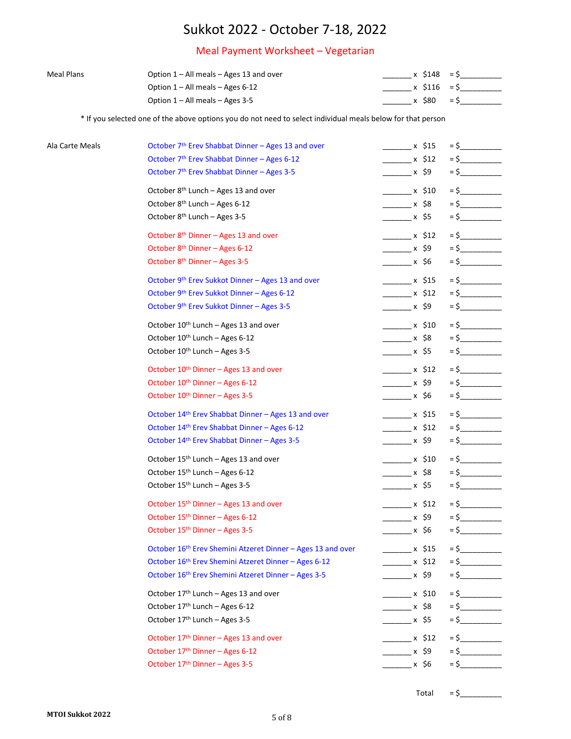### Meal Payment Worksheet – Vegetarian

| Meal Plans | Option $1 - All$ meals $-$ Ages 13 and over | $x$ S148 = S |  |
|------------|---------------------------------------------|--------------|--|
|            | Option $1 -$ All meals $-$ Ages 6-12        | x 5116 = S   |  |
|            | Option $1 - All$ meals $-$ Ages 3-5         | $x$ S80 = S  |  |

\* If you selected one of the above options you do not need to select individual meals below for that person

| Ala Carte Meals | October 7 <sup>th</sup> Erev Shabbat Dinner - Ages 13 and over | $\frac{1}{2}$ x \$15            | $=$ \$ |
|-----------------|----------------------------------------------------------------|---------------------------------|--------|
|                 | October 7th Erev Shabbat Dinner - Ages 6-12                    | x \$12                          |        |
|                 | October 7 <sup>th</sup> Erev Shabbat Dinner - Ages 3-5         | _______ x \$9                   |        |
|                 | October 8 <sup>th</sup> Lunch - Ages 13 and over               | $\times$ \$10                   | $=$ \$ |
|                 | October 8 <sup>th</sup> Lunch - Ages 6-12                      | ________ x \$8                  | $=$ \$ |
|                 | October 8 <sup>th</sup> Lunch - Ages 3-5                       | ________ x \$5                  |        |
|                 | October 8 <sup>th</sup> Dinner - Ages 13 and over              | $x \; \text{ }$ \$12            | $=$ \$ |
|                 | October 8 <sup>th</sup> Dinner - Ages 6-12                     | _________ x \$9                 | $=$ \$ |
|                 | October 8 <sup>th</sup> Dinner - Ages 3-5                      | ________ x \$6                  |        |
|                 | October 9th Erev Sukkot Dinner - Ages 13 and over              | $\times$ \$15                   | $=$ \$ |
|                 | October 9th Erev Sukkot Dinner - Ages 6-12                     | $\frac{1}{2}$ x \$12            |        |
|                 | October 9th Erev Sukkot Dinner - Ages 3-5                      | _______ x \$9                   |        |
|                 | October 10 <sup>th</sup> Lunch - Ages 13 and over              | $\times$ \$10                   | $=$ \$ |
|                 | October 10 <sup>th</sup> Lunch - Ages 6-12                     | _________ x \$8                 | $=$ \$ |
|                 | October 10 <sup>th</sup> Lunch - Ages 3-5                      |                                 |        |
|                 | October 10th Dinner - Ages 13 and over                         | $\frac{1}{2}$ x \$12            | $=$ \$ |
|                 | October 10 <sup>th</sup> Dinner - Ages 6-12                    | _________ x \$9                 | $=$ \$ |
|                 | October 10 <sup>th</sup> Dinner - Ages 3-5                     | ________ x \$6                  |        |
|                 | October 14th Erev Shabbat Dinner - Ages 13 and over            | $\frac{1}{2}$ x \$15            | $=$ \$ |
|                 | October 14th Erev Shabbat Dinner - Ages 6-12                   | $\frac{1}{2}$ x \$12            | $=$ \$ |
|                 | October 14th Erev Shabbat Dinner - Ages 3-5                    | ________ x \$9                  |        |
|                 | October 15 <sup>th</sup> Lunch - Ages 13 and over              | $\frac{\ }{\ }$ x \$10          | $=$ \$ |
|                 | October 15th Lunch - Ages 6-12                                 |                                 |        |
|                 | October 15 <sup>th</sup> Lunch - Ages 3-5                      | ________ x \$5                  | $=$ \$ |
|                 | October 15th Dinner - Ages 13 and over                         | $\frac{\ }{\ }$ x \$12          | $=$ \$ |
|                 | October 15th Dinner - Ages 6-12                                | $\frac{1}{2}$ x \$9             |        |
|                 | October 15 <sup>th</sup> Dinner - Ages 3-5                     | ________ x \$6                  | $=$ \$ |
|                 | October 16th Erev Shemini Atzeret Dinner - Ages 13 and over    | __________ x \$15               | $=$ \$ |
|                 | October 16th Erev Shemini Atzeret Dinner - Ages 6-12           | $\frac{\sqrt{3}}{2} \times 512$ | $=$ \$ |
|                 | October 16th Erev Shemini Atzeret Dinner - Ages 3-5            | $\frac{\ }{2}$ x \$9            |        |
|                 | October 17th Lunch - Ages 13 and over                          | x \$10                          |        |
|                 | October 17th Lunch - Ages 6-12                                 | $x$ \$8                         | $=$ \$ |
|                 | October 17th Lunch - Ages 3-5                                  | ________ x \$5                  | $=$ \$ |
|                 | October 17 <sup>th</sup> Dinner - Ages 13 and over             | $\times$ \$12                   | $=$ \$ |
|                 | October 17 <sup>th</sup> Dinner - Ages 6-12                    | $\frac{\ }{2}$ x \$9            | $=$ \$ |
|                 | October 17th Dinner - Ages 3-5                                 | _______ x \$6                   | $=$ \$ |
|                 |                                                                |                                 |        |

 $Total = $$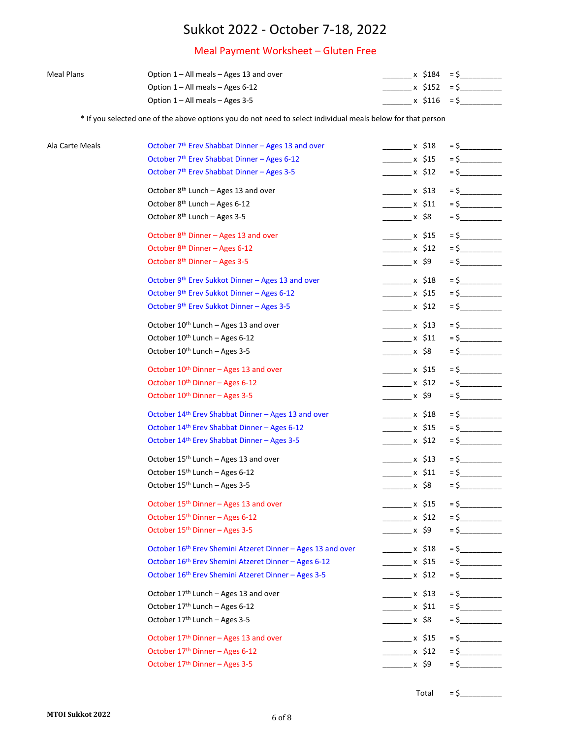### Meal Payment Worksheet – Gluten Free

| <b>Meal Plans</b> | Option $1 - All$ meals $-$ Ages 13 and over | x \$184 = \$ |  |
|-------------------|---------------------------------------------|--------------|--|
|                   | Option $1 -$ All meals $-$ Ages 6-12        | x S152 = S   |  |
|                   | Option $1 - All$ meals $-$ Ages 3-5         | x S116 = S   |  |

\* If you selected one of the above options you do not need to select individual meals below for that person

| Ala Carte Meals | October 7 <sup>th</sup> Erev Shabbat Dinner - Ages 13 and over | $x$ \$18                        | $=$ \$ |
|-----------------|----------------------------------------------------------------|---------------------------------|--------|
|                 | October 7th Erev Shabbat Dinner - Ages 6-12                    | $\frac{\ }{2}$ x \$15           | $=$ \$ |
|                 | October 7 <sup>th</sup> Erev Shabbat Dinner - Ages 3-5         | .x \$12                         |        |
|                 | October 8 <sup>th</sup> Lunch - Ages 13 and over               | $x \; \text{ }$ \$13            | $=$ \$ |
|                 | October 8 <sup>th</sup> Lunch - Ages 6-12                      | $\frac{\ }{2}$ x \$11           | $=$ \$ |
|                 | October 8 <sup>th</sup> Lunch - Ages 3-5                       | _______ x \$8                   |        |
|                 | October 8 <sup>th</sup> Dinner - Ages 13 and over              | $\frac{\ }{\ }$ x \$15          | $=$ \$ |
|                 | October 8 <sup>th</sup> Dinner - Ages 6-12                     | $\frac{\ }{2}$ x \$12           | $=$ \$ |
|                 | October 8 <sup>th</sup> Dinner - Ages 3-5                      | $\sim$ x \$9                    | $=$ \$ |
|                 | October 9th Erev Sukkot Dinner - Ages 13 and over              | $\frac{1}{2}$ x \$18            | $=$ \$ |
|                 | October 9th Erev Sukkot Dinner - Ages 6-12                     | $\frac{1}{2}$ x \$15            | $=$ \$ |
|                 | October 9th Erev Sukkot Dinner - Ages 3-5                      | _________ x \$12                | $=$ \$ |
|                 | October 10th Lunch - Ages 13 and over                          | $\frac{1}{2}$ x \$13            | $=$ \$ |
|                 | October 10 <sup>th</sup> Lunch - Ages 6-12                     | $\frac{\ }{2}$ x \$11           | $=$ \$ |
|                 | October 10th Lunch - Ages 3-5                                  | ________ x \$8                  | $=$ \$ |
|                 | October 10th Dinner - Ages 13 and over                         | $\frac{1}{2}$ x \$15            | $=$ \$ |
|                 | October 10 <sup>th</sup> Dinner - Ages 6-12                    | $\frac{\ }{2}$ x \$12           | $=$ \$ |
|                 | October 10 <sup>th</sup> Dinner - Ages 3-5                     | $\sim$ x \$9                    | $=$ \$ |
|                 | October 14th Erev Shabbat Dinner - Ages 13 and over            | $\frac{1}{2}$ x \$18            | $=$ \$ |
|                 | October 14th Erev Shabbat Dinner - Ages 6-12                   | $\frac{\ }{2}$ x \$15           | $=$ \$ |
|                 | October 14th Erev Shabbat Dinner - Ages 3-5                    | _________ x \$12                | $=$ \$ |
|                 | October 15 <sup>th</sup> Lunch - Ages 13 and over              | $\frac{1}{2}$ x \$13            | $=$ \$ |
|                 | October 15th Lunch - Ages 6-12                                 | $\frac{1}{2}$ x \$11            | $=$ \$ |
|                 | October 15 <sup>th</sup> Lunch - Ages 3-5                      | ________ x \$8                  | $=$ \$ |
|                 | October 15 <sup>th</sup> Dinner - Ages 13 and over             | $\frac{1}{2}$ x \$15            |        |
|                 | October 15 <sup>th</sup> Dinner - Ages 6-12                    | $\frac{\ }{\ }$ x \$12          | $=$ \$ |
|                 | October 15 <sup>th</sup> Dinner - Ages 3-5                     | $\sim$ x \$9                    | $=$ \$ |
|                 | October 16th Erev Shemini Atzeret Dinner - Ages 13 and over    | _________ x \$18                | $=$ \$ |
|                 | October 16th Erev Shemini Atzeret Dinner - Ages 6-12           | $\frac{\ }{2}$ x \$15           | $=$ \$ |
|                 | October 16th Erev Shemini Atzeret Dinner - Ages 3-5            | $\frac{1}{2}$ x \$12            | $=$ \$ |
|                 | October 17th Lunch - Ages 13 and over                          | $\overline{\phantom{1}}$ x \$13 |        |
|                 | October 17th Lunch - Ages 6-12                                 | $\frac{1}{2}$ x \$11            | $=$ \$ |
|                 | October 17th Lunch - Ages 3-5                                  |                                 | $=$ \$ |
|                 | October 17 <sup>th</sup> Dinner - Ages 13 and over             | $\times$ \$15                   |        |
|                 | October 17th Dinner - Ages 6-12                                | $\frac{\times}{12}$ x \$12      | $=$ \$ |
|                 | October 17th Dinner - Ages 3-5                                 |                                 | $=$ \$ |
|                 |                                                                |                                 |        |

 $Total = $$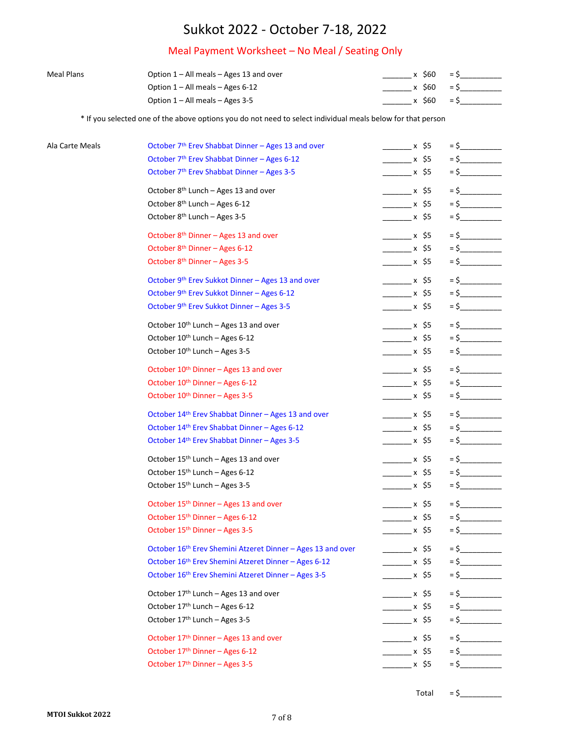### Meal Payment Worksheet – No Meal / Seating Only

| Meal Plans | Option $1 - All$ meals $-$ Ages 13 and over | x S60 | $=$ $\mathsf{S}$ |  |
|------------|---------------------------------------------|-------|------------------|--|
|            | Option $1 -$ All meals $-$ Ages 6-12        | x S60 | $=$ S            |  |
|            | Option $1 - All$ meals $-$ Ages 3-5         | x S60 | $=$ S            |  |

\* If you selected one of the above options you do not need to select individual meals below for that person

| Ala Carte Meals | October 7 <sup>th</sup> Erev Shabbat Dinner - Ages 13 and over | $\frac{\ }{\ }$ x \$5 |        |
|-----------------|----------------------------------------------------------------|-----------------------|--------|
|                 | October 7th Erev Shabbat Dinner - Ages 6-12                    | $\frac{1}{2}$ x \$5   | $=$ \$ |
|                 | October 7 <sup>th</sup> Erev Shabbat Dinner - Ages 3-5         | .x \$5                |        |
|                 | October 8 <sup>th</sup> Lunch - Ages 13 and over               | $x$ \$5               | $=$ \$ |
|                 | October 8 <sup>th</sup> Lunch - Ages 6-12                      | $\frac{1}{2}$ x \$5   | $=$ \$ |
|                 | October 8 <sup>th</sup> Lunch - Ages 3-5                       | .x \$5                |        |
|                 | October 8 <sup>th</sup> Dinner - Ages 13 and over              | $\sim$ x \$5          | $=$ \$ |
|                 | October 8 <sup>th</sup> Dinner - Ages 6-12                     | $\frac{1}{2}$ x \$5   | $=$ \$ |
|                 | October 8 <sup>th</sup> Dinner - Ages 3-5                      | _________ x \$5       | $=$ \$ |
|                 | October 9th Erev Sukkot Dinner - Ages 13 and over              | $\frac{\ }{\ }$ x \$5 | $=$ \$ |
|                 | October 9th Erev Sukkot Dinner - Ages 6-12                     | $\frac{1}{2}$ x \$5   | $=$ \$ |
|                 | October 9th Erev Sukkot Dinner - Ages 3-5                      | ________ x \$5        | $=$ \$ |
|                 | October 10th Lunch - Ages 13 and over                          | $\frac{\ }{\ }$ x \$5 | $=$ \$ |
|                 | October 10 <sup>th</sup> Lunch - Ages 6-12                     | $\frac{1}{2}$ x \$5   | $=$ \$ |
|                 | October 10th Lunch - Ages 3-5                                  | _________ x \$5       | $=$ \$ |
|                 | October 10th Dinner - Ages 13 and over                         | $\frac{1}{2}$ x \$5   | $=$ \$ |
|                 | October 10 <sup>th</sup> Dinner - Ages 6-12                    | $\frac{\ }{}$ x \$5   | $=$ \$ |
|                 | October 10 <sup>th</sup> Dinner - Ages 3-5                     | $\sim$ x \$5          |        |
|                 | October 14th Erev Shabbat Dinner - Ages 13 and over            | $\frac{1}{2}$ x \$5   | $=$ \$ |
|                 | October 14th Erev Shabbat Dinner - Ages 6-12                   | $\frac{1}{2}$ x \$5   | $=$ \$ |
|                 | October 14th Erev Shabbat Dinner - Ages 3-5                    | $\sim$ x \$5          |        |
|                 | October 15 <sup>th</sup> Lunch - Ages 13 and over              | $\frac{1}{2}$ x \$5   | $=$ \$ |
|                 | October 15th Lunch - Ages 6-12                                 | $\frac{1}{2}$ x \$5   | $=$ \$ |
|                 | October 15 <sup>th</sup> Lunch - Ages 3-5                      | _________ x \$5       | $=$ \$ |
|                 | October 15th Dinner - Ages 13 and over                         | $\frac{\ }{\ }$ x \$5 | $=$ \$ |
|                 | October 15th Dinner - Ages 6-12                                | $\frac{1}{2}$ x \$5   | $=$ \$ |
|                 | October 15 <sup>th</sup> Dinner - Ages 3-5                     | _________ x \$5       | $=$ \$ |
|                 | October 16th Erev Shemini Atzeret Dinner - Ages 13 and over    | ________ x \$5        | $=$ \$ |
|                 | October 16th Erev Shemini Atzeret Dinner - Ages 6-12           | $\frac{1}{2}$ x \$5   | $=$ \$ |
|                 | October 16th Erev Shemini Atzeret Dinner - Ages 3-5            | x \$5                 | $=$ \$ |
|                 | October 17th Lunch - Ages 13 and over                          | $x \xi$ 5             | $=$ \$ |
|                 | October 17th Lunch - Ages 6-12                                 | $\frac{\ }{\ }$ x \$5 | $=$ \$ |
|                 | October 17th Lunch - Ages 3-5                                  | ________ x \$5        | $=$ \$ |
|                 | October 17 <sup>th</sup> Dinner - Ages 13 and over             | $x \xi$ 5             |        |
|                 | October 17th Dinner - Ages 6-12                                | $x \xi$ 5             | $=$ \$ |
|                 | October 17th Dinner - Ages 3-5                                 | _________ x \$5       | $=$ \$ |
|                 |                                                                |                       |        |

Total =  $\frac{6}{2}$